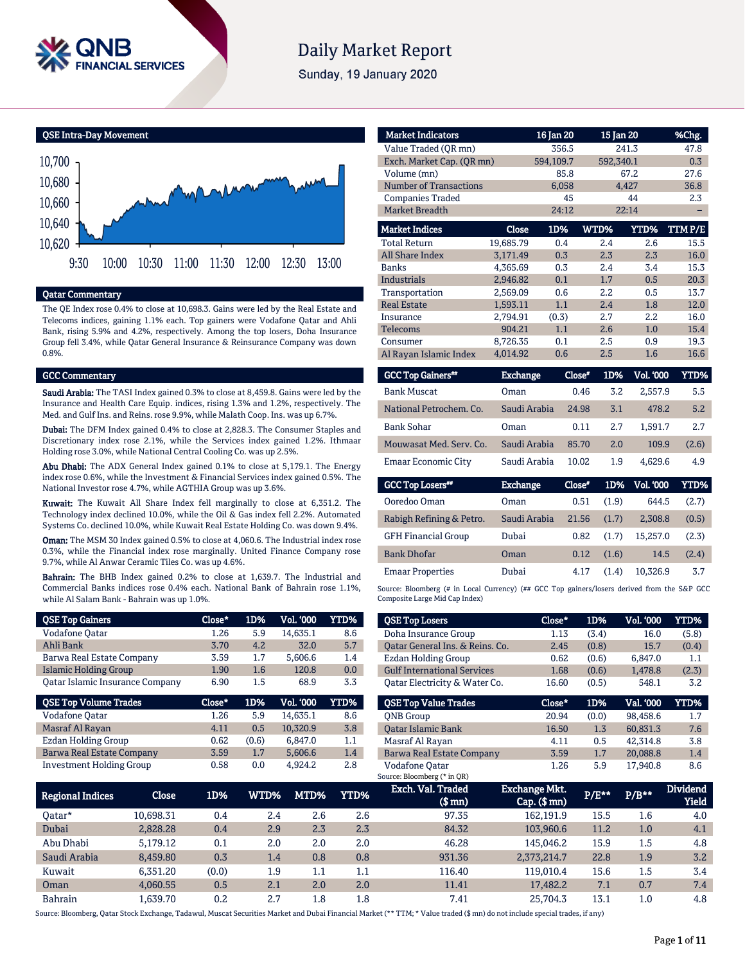

# **Daily Market Report**

Sunday, 19 January 2020

QSE Intra-Day Movement



#### Qatar Commentary

The QE Index rose 0.4% to close at 10,698.3. Gains were led by the Real Estate and Telecoms indices, gaining 1.1% each. Top gainers were Vodafone Qatar and Ahli Bank, rising 5.9% and 4.2%, respectively. Among the top losers, Doha Insurance Group fell 3.4%, while Qatar General Insurance & Reinsurance Company was down 0.8%.

#### GCC Commentary

Saudi Arabia: The TASI Index gained 0.3% to close at 8,459.8. Gains were led by the Insurance and Health Care Equip. indices, rising 1.3% and 1.2%, respectively. The Med. and Gulf Ins. and Reins. rose 9.9%, while Malath Coop. Ins. was up 6.7%.

Dubai: The DFM Index gained 0.4% to close at 2,828.3. The Consumer Staples and Discretionary index rose 2.1%, while the Services index gained 1.2%. Ithmaar Holding rose 3.0%, while National Central Cooling Co. was up 2.5%.

Abu Dhabi: The ADX General Index gained 0.1% to close at 5,179.1. The Energy index rose 0.6%, while the Investment & Financial Services index gained 0.5%. The National Investor rose 4.7%, while AGTHIA Group was up 3.6%.

Kuwait: The Kuwait All Share Index fell marginally to close at 6,351.2. The Technology index declined 10.0%, while the Oil & Gas index fell 2.2%. Automated Systems Co. declined 10.0%, while Kuwait Real Estate Holding Co. was down 9.4%.

Oman: The MSM 30 Index gained 0.5% to close at 4,060.6. The Industrial index rose 0.3%, while the Financial index rose marginally. United Finance Company rose 9.7%, while Al Anwar Ceramic Tiles Co. was up 4.6%.

Bahrain: The BHB Index gained 0.2% to close at 1,639.7. The Industrial and Commercial Banks indices rose 0.4% each. National Bank of Bahrain rose 1.1%, while Al Salam Bank - Bahrain was up 1.0%.

| <b>QSE Top Gainers</b>           | Close* | 1D%   | Vol. '000 | <b>YTD%</b> |
|----------------------------------|--------|-------|-----------|-------------|
| Vodafone Qatar                   | 1.26   | 5.9   | 14,635.1  | 8.6         |
| Ahli Bank                        | 3.70   | 4.2   | 32.0      | 5.7         |
| Barwa Real Estate Company        | 3.59   | 1.7   | 5,606.6   | 1.4         |
| <b>Islamic Holding Group</b>     | 1.90   | 1.6   | 120.8     | 0.0         |
| Oatar Islamic Insurance Company  | 6.90   | 1.5   | 68.9      | 3.3         |
|                                  |        |       |           |             |
| <b>QSE Top Volume Trades</b>     | Close* | 1D%   | Vol. '000 | YTD%        |
| Vodafone Qatar                   | 1.26   | 5.9   | 14.635.1  | 8.6         |
| Masraf Al Rayan                  | 4.11   | 0.5   | 10,320.9  | 3.8         |
| Ezdan Holding Group              | 0.62   | (0.6) | 6,847.0   | 1.1         |
| <b>Barwa Real Estate Company</b> | 3.59   | 1.7   | 5,606.6   | 1.4         |

| <b>Market Indicators</b>  |           | 16 Jan 20 |           | 15 Jan 20   | %Chg.  |
|---------------------------|-----------|-----------|-----------|-------------|--------|
| Value Traded (OR mn)      |           | 356.5     |           | 241.3       | 47.8   |
| Exch. Market Cap. (QR mn) |           | 594,109.7 | 592,340.1 |             | 0.3    |
| Volume (mn)               |           | 85.8      |           | 67.2        | 27.6   |
| Number of Transactions    |           | 6,058     |           | 4,427       | 36.8   |
| <b>Companies Traded</b>   |           | 45        |           | 44          | 2.3    |
| <b>Market Breadth</b>     |           | 24:12     |           | 22:14       |        |
| <b>Market Indices</b>     | Close     | 1D%       | WTD%      | <b>YTD%</b> | TTMP/E |
| <b>Total Return</b>       | 19,685.79 | 0.4       | 2.4       | 2.6         | 15.5   |
| <b>All Share Index</b>    | 3,171.49  | 0.3       | 2.3       | 2.3         | 16.0   |
| <b>Banks</b>              | 4.365.69  | 0.3       | 2.4       | 3.4         | 15.3   |
| <b>Industrials</b>        | 2,946.82  | 0.1       | 1.7       | 0.5         | 20.3   |
| Transportation            | 2.569.09  | 0.6       | 2.2       | 0.5         | 13.7   |
| <b>Real Estate</b>        | 1.593.11  | 1.1       | 2.4       | 1.8         | 12.0   |
| Insurance                 | 2,794.91  | (0.3)     | 2.7       | 2.2         | 16.0   |
| <b>Telecoms</b>           | 904.21    | 1.1       | 2.6       | 1.0         | 15.4   |
| Consumer                  | 8.726.35  | 0.1       | 2.5       | 0.9         | 19.3   |
| Al Rayan Islamic Index    | 4,014.92  | 0.6       | 2.5       | 1.6         | 16.6   |

| <b>GCC Top Gainers**</b> | Exchange,    | Close* | 1D% | <b>Vol. '000</b> | YTD%  |
|--------------------------|--------------|--------|-----|------------------|-------|
| <b>Bank Muscat</b>       | Oman         | 0.46   | 3.2 | 2.557.9          | 5.5   |
| National Petrochem. Co.  | Saudi Arabia | 24.98  | 3.1 | 478.2            | 5.2   |
| <b>Bank Sohar</b>        | Oman         | 0.11   | 2.7 | 1.591.7          | 2.7   |
| Mouwasat Med. Serv. Co.  | Saudi Arabia | 85.70  | 2.0 | 109.9            | (2.6) |
| Emaar Economic City      | Saudi Arabia | 10.02  | 1.9 | 4.629.6          | 4.9   |
|                          |              |        |     |                  |       |

| <b>GCC Top Losers"</b>     | <b>Exchange</b> | Close* | 1D%   | Vol. '000 | YTD%  |
|----------------------------|-----------------|--------|-------|-----------|-------|
| Ooredoo Oman               | Oman            | 0.51   | (1.9) | 644.5     | (2.7) |
| Rabigh Refining & Petro.   | Saudi Arabia    | 21.56  | (1.7) | 2.308.8   | (0.5) |
| <b>GFH Financial Group</b> | Dubai           | 0.82   | (1.7) | 15,257.0  | (2.3) |
| <b>Bank Dhofar</b>         | Oman            | 0.12   | (1.6) | 14.5      | (2.4) |
| <b>Emaar Properties</b>    | Dubai           | 4.17   | (1.4) | 10.326.9  | 3.7   |

Source: Bloomberg (# in Local Currency) (## GCC Top gainers/losers derived from the S&P GCC Composite Large Mid Cap Index)

| <b>QSE Top Losers</b>              | Close* | 1D%   | <b>Vol. '000</b> | YTD%  |
|------------------------------------|--------|-------|------------------|-------|
| Doha Insurance Group               | 1.13   | (3.4) | 16.0             | (5.8) |
| Oatar General Ins. & Reins. Co.    | 2.45   | (0.8) | 15.7             | (0.4) |
| Ezdan Holding Group                | 0.62   | (0.6) | 6,847.0          | 1.1   |
| <b>Gulf International Services</b> | 1.68   | (0.6) | 1.478.8          | (2.3) |
| Qatar Electricity & Water Co.      | 16.60  | (0.5) | 548.1            | 3.2   |
| <b>OSE Top Value Trades</b>        | Close* | 1D%   | Val. '000        | YTD%  |
|                                    |        |       |                  |       |
| <b>ONB</b> Group                   | 20.94  | (0.0) | 98.458.6         | 1.7   |
| <b>Oatar Islamic Bank</b>          | 16.50  | 1.3   | 60.831.3         | 7.6   |
| Masraf Al Rayan                    | 4.11   | 0.5   | 42.314.8         | 3.8   |
| Barwa Real Estate Company          | 3.59   | 1.7   | 20,088.8         | 1.4   |
| Vodafone Qatar                     | 1.26   | 5.9   | 17.940.8         | 8.6   |
| Source: Bloomberg (* in QR)        |        |       |                  |       |

| <b>Regional Indices</b> | Close     | 1D%   | WTD% ' | MTD% | YTD%    | Exch. Val. Traded<br>$$$ mn $)$ | <b>Exchange Mkt.</b><br>$Cap.$ $(\$$ mn $)$ | P/E** | $P/B**$ | <b>Dividend</b><br>Yield |
|-------------------------|-----------|-------|--------|------|---------|---------------------------------|---------------------------------------------|-------|---------|--------------------------|
| 0atar*                  | 10.698.31 | 0.4   | 2.4    | 2.6  | 2.6     | 97.35                           | 162.191.9                                   | 15.5  | 1.6     | 4.0                      |
| Dubai                   | 2,828.28  | 0.4   | 2.9    | 2.3  | 2.3     | 84.32                           | 103.960.6                                   | 11.2  | 1.0     | 4.1                      |
| Abu Dhabi               | 5.179.12  | 0.1   | 2.0    | 2.0  | 2.0     | 46.28                           | 145.046.2                                   | 15.9  | 1.5     | 4.8                      |
| Saudi Arabia            | 8.459.80  | 0.3   | 1.4    | 0.8  | 0.8     | 931.36                          | 2,373,214.7                                 | 22.8  | 1.9     | 3.2                      |
| Kuwait                  | 6.351.20  | (0.0) | 1.9    | 1.1  | $1.1\,$ | 116.40                          | 119.010.4                                   | 15.6  | 1.5     | 3.4                      |
| Oman                    | 4.060.55  | 0.5   | 2.1    | 2.0  | 2.0     | 11.41                           | 17.482.2                                    | 7.1   | 0.7     | 7.4                      |
| <b>Bahrain</b>          | 1.639.70  | 0.2   | 2.7    | 1.8  | $1.8\,$ | 7.41                            | 25.704.3                                    | 13.1  | $1.0\,$ | 4.8                      |

Source: Bloomberg, Qatar Stock Exchange, Tadawul, Muscat Securities Market and Dubai Financial Market (\*\* TTM; \* Value traded (\$ mn) do not include special trades, if any)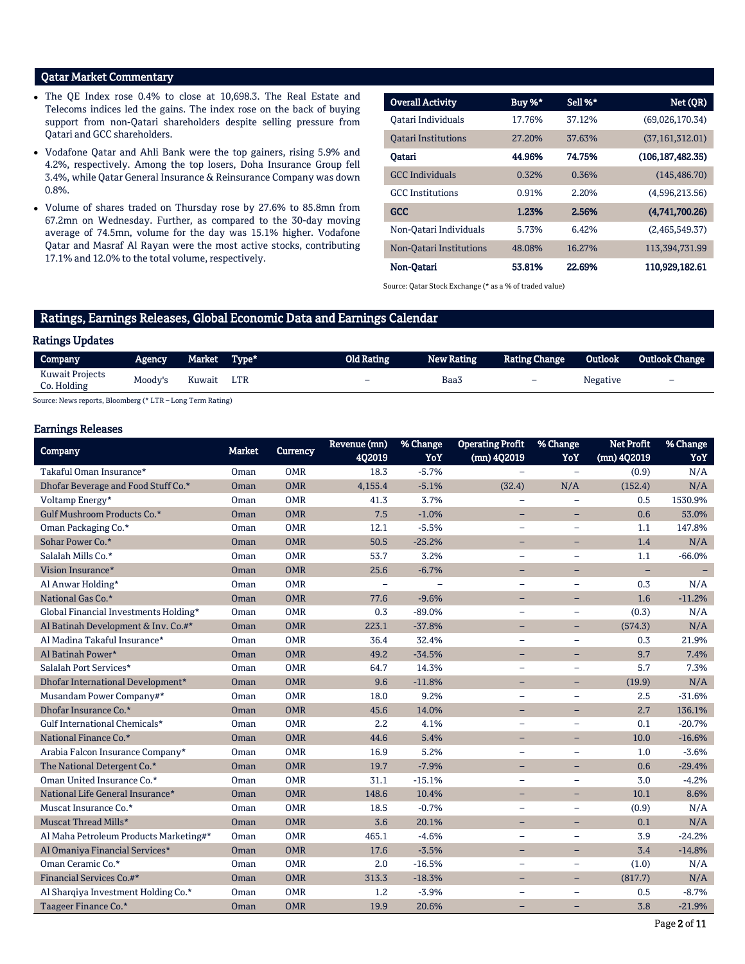## Qatar Market Commentary

- The QE Index rose 0.4% to close at 10,698.3. The Real Estate and Telecoms indices led the gains. The index rose on the back of buying support from non-Qatari shareholders despite selling pressure from Qatari and GCC shareholders.
- Vodafone Qatar and Ahli Bank were the top gainers, rising 5.9% and 4.2%, respectively. Among the top losers, Doha Insurance Group fell 3.4%, while Qatar General Insurance & Reinsurance Company was down 0.8%.
- Volume of shares traded on Thursday rose by 27.6% to 85.8mn from 67.2mn on Wednesday. Further, as compared to the 30-day moving average of 74.5mn, volume for the day was 15.1% higher. Vodafone Qatar and Masraf Al Rayan were the most active stocks, contributing 17.1% and 12.0% to the total volume, respectively.

| <b>Overall Activity</b>    | Buy %* | Sell %* | Net (QR)          |
|----------------------------|--------|---------|-------------------|
| Oatari Individuals         | 17.76% | 37.12%  | (69,026,170.34)   |
| <b>Oatari Institutions</b> | 27.20% | 37.63%  | (37, 161, 312.01) |
| Oatari                     | 44.96% | 74.75%  | (106.187.482.35)  |
| <b>GCC</b> Individuals     | 0.32%  | 0.36%   | (145, 486.70)     |
| <b>GCC</b> Institutions    | 0.91%  | 2.20%   | (4,596,213.56)    |
| <b>GCC</b>                 | 1.23%  | 2.56%   | (4,741,700.26)    |
| Non-Oatari Individuals     | 5.73%  | 6.42%   | (2,465,549.37)    |
| Non-Oatari Institutions    | 48.08% | 16.27%  | 113,394,731.99    |
| Non-Oatari                 | 53.81% | 22.69%  | 110,929,182.61    |

Source: Qatar Stock Exchange (\* as a % of traded value)

## Ratings, Earnings Releases, Global Economic Data and Earnings Calendar

#### Ratings Updates

| Company                        | <b>Agency</b> | Market Type* | Old Rating | New Rating | <b>Rating Change</b>     | Outlook  | <b>Outlook Change</b>    |
|--------------------------------|---------------|--------------|------------|------------|--------------------------|----------|--------------------------|
| Kuwait Projects<br>Co. Holding | Moody's       | Kuwait LTR   | -          | Baa3       | $\overline{\phantom{0}}$ | Negative | $\overline{\phantom{0}}$ |

Source: News reports, Bloomberg (\* LTR – Long Term Rating)

## Earnings Releases

| Company                                | <b>Market</b> | <b>Currency</b> | Revenue (mn)             | % Change | <b>Operating Profit</b>  | % Change                 | <b>Net Profit</b>        | % Change |
|----------------------------------------|---------------|-----------------|--------------------------|----------|--------------------------|--------------------------|--------------------------|----------|
|                                        |               |                 | 402019                   | YoY      | (mn) 4Q2019              | YoY                      | (mn) 4Q2019              | YoY      |
| Takaful Oman Insurance*                | Oman          | <b>OMR</b>      | 18.3                     | $-5.7%$  |                          | $\equiv$                 | (0.9)                    | N/A      |
| Dhofar Beverage and Food Stuff Co.*    | <b>Oman</b>   | <b>OMR</b>      | 4,155.4                  | $-5.1%$  | (32.4)                   | N/A                      | (152.4)                  | N/A      |
| Voltamp Energy*                        | Oman          | <b>OMR</b>      | 41.3                     | 3.7%     |                          |                          | 0.5                      | 1530.9%  |
| Gulf Mushroom Products Co.*            | Oman          | <b>OMR</b>      | 7.5                      | $-1.0%$  | $\overline{\phantom{0}}$ | Ξ.                       | 0.6                      | 53.0%    |
| Oman Packaging Co.*                    | Oman          | <b>OMR</b>      | 12.1                     | $-5.5%$  | $\overline{\phantom{0}}$ | $\overline{\phantom{0}}$ | 1.1                      | 147.8%   |
| Sohar Power Co.*                       | Oman          | <b>OMR</b>      | 50.5                     | $-25.2%$ | $\overline{\phantom{a}}$ | Ξ.                       | 1.4                      | N/A      |
| Salalah Mills Co.*                     | Oman          | <b>OMR</b>      | 53.7                     | 3.2%     | $\overline{\phantom{m}}$ | $\overline{\phantom{0}}$ | 1.1                      | $-66.0%$ |
| Vision Insurance*                      | Oman          | <b>OMR</b>      | 25.6                     | $-6.7%$  | $\overline{\phantom{0}}$ | $\overline{\phantom{0}}$ | $\overline{\phantom{0}}$ |          |
| Al Anwar Holding*                      | Oman          | <b>OMR</b>      | $\overline{\phantom{0}}$ |          | $\equiv$                 | $\equiv$                 | 0.3                      | N/A      |
| National Gas Co.*                      | Oman          | <b>OMR</b>      | 77.6                     | $-9.6%$  |                          |                          | 1.6                      | $-11.2%$ |
| Global Financial Investments Holding*  | Oman          | <b>OMR</b>      | 0.3                      | $-89.0%$ | $\overline{\phantom{m}}$ | $\qquad \qquad -$        | (0.3)                    | N/A      |
| Al Batinah Development & Inv. Co.#*    | Oman          | <b>OMR</b>      | 223.1                    | $-37.8%$ | $\overline{\phantom{0}}$ | Ξ.                       | (574.3)                  | N/A      |
| Al Madina Takaful Insurance*           | Oman          | <b>OMR</b>      | 36.4                     | 32.4%    | $\equiv$                 | $\equiv$                 | 0.3                      | 21.9%    |
| Al Batinah Power*                      | Oman          | <b>OMR</b>      | 49.2                     | $-34.5%$ | $\overline{\phantom{0}}$ | -                        | 9.7                      | 7.4%     |
| Salalah Port Services*                 | Oman          | <b>OMR</b>      | 64.7                     | 14.3%    | $\overline{\phantom{m}}$ | $\overline{\phantom{0}}$ | 5.7                      | 7.3%     |
| Dhofar International Development*      | <b>Oman</b>   | <b>OMR</b>      | 9.6                      | $-11.8%$ | $\overline{\phantom{0}}$ | Ξ.                       | (19.9)                   | N/A      |
| Musandam Power Company#*               | Oman          | <b>OMR</b>      | 18.0                     | 9.2%     | $\overline{\phantom{0}}$ | $\overline{\phantom{0}}$ | 2.5                      | $-31.6%$ |
| Dhofar Insurance Co.*                  | Oman          | <b>OMR</b>      | 45.6                     | 14.0%    | $\overline{\phantom{0}}$ | -                        | 2.7                      | 136.1%   |
| Gulf International Chemicals*          | Oman          | <b>OMR</b>      | 2.2                      | 4.1%     | $\overline{\phantom{0}}$ |                          | 0.1                      | $-20.7%$ |
| National Finance Co.*                  | Oman          | <b>OMR</b>      | 44.6                     | 5.4%     | $\equiv$                 | ÷                        | 10.0                     | $-16.6%$ |
| Arabia Falcon Insurance Company*       | Oman          | <b>OMR</b>      | 16.9                     | 5.2%     | $\overline{\phantom{m}}$ | $\equiv$                 | 1.0                      | $-3.6%$  |
| The National Detergent Co.*            | Oman          | <b>OMR</b>      | 19.7                     | $-7.9%$  | $\overline{\phantom{0}}$ | Ξ.                       | 0.6                      | $-29.4%$ |
| Oman United Insurance Co.*             | Oman          | <b>OMR</b>      | 31.1                     | $-15.1%$ | $\overline{\phantom{a}}$ | $\overline{\phantom{0}}$ | 3.0                      | $-4.2%$  |
| National Life General Insurance*       | Oman          | <b>OMR</b>      | 148.6                    | 10.4%    | $\equiv$                 | $\equiv$                 | 10.1                     | 8.6%     |
| Muscat Insurance Co.*                  | Oman          | <b>OMR</b>      | 18.5                     | $-0.7%$  | $\overline{\phantom{0}}$ | $\overline{\phantom{0}}$ | (0.9)                    | N/A      |
| Muscat Thread Mills*                   | Oman          | <b>OMR</b>      | 3.6                      | 20.1%    | $\qquad \qquad -$        | $-$                      | 0.1                      | N/A      |
| Al Maha Petroleum Products Marketing#* | Oman          | <b>OMR</b>      | 465.1                    | $-4.6%$  | $\qquad \qquad -$        | $\qquad \qquad -$        | 3.9                      | $-24.2%$ |
| Al Omaniya Financial Services*         | Oman          | <b>OMR</b>      | 17.6                     | $-3.5%$  | $-$                      | $-$                      | 3.4                      | $-14.8%$ |
| Oman Ceramic Co.*                      | Oman          | <b>OMR</b>      | 2.0                      | $-16.5%$ | $\overline{\phantom{0}}$ | $\qquad \qquad -$        | (1.0)                    | N/A      |
| Financial Services Co.#*               | Oman          | <b>OMR</b>      | 313.3                    | $-18.3%$ | $\overline{\phantom{0}}$ | Ξ.                       | (817.7)                  | N/A      |
| Al Sharqiya Investment Holding Co.*    | Oman          | <b>OMR</b>      | 1.2                      | $-3.9%$  |                          |                          | 0.5                      | $-8.7%$  |
| Taageer Finance Co.*                   | Oman          | <b>OMR</b>      | 19.9                     | 20.6%    | -                        | -                        | 3.8                      | $-21.9%$ |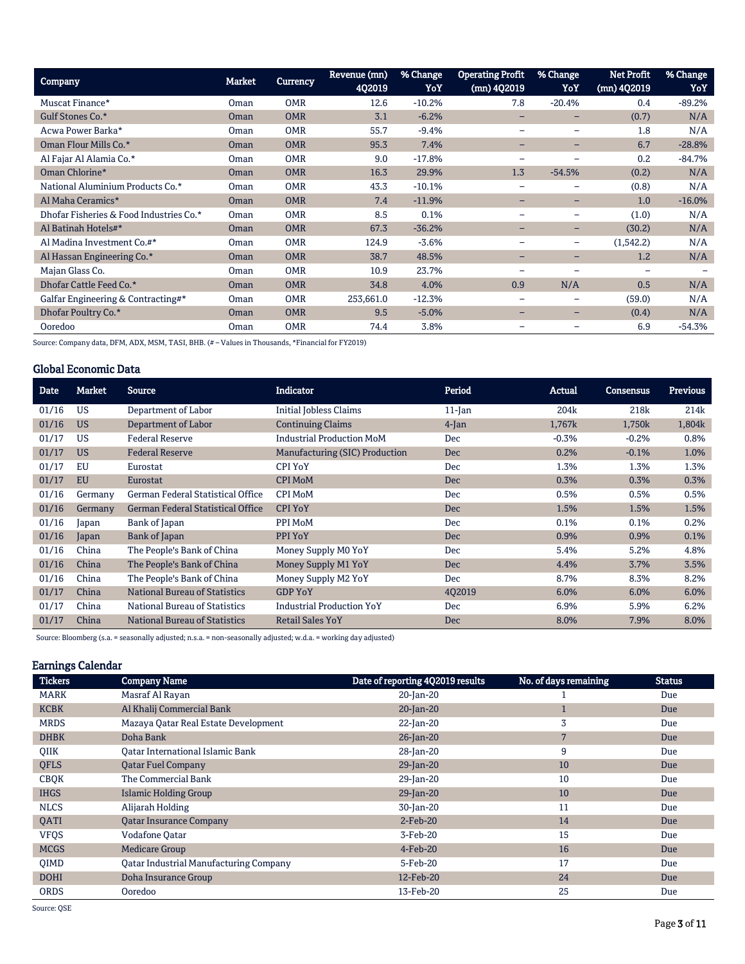| Company                                 | <b>Market</b> | <b>Currency</b> | Revenue (mn)<br>402019 | % Change<br>YoY | <b>Operating Profit</b><br>(mn) 4Q2019 | % Change<br>YoY   | <b>Net Profit</b><br>$(mn)$ 402019 | % Change<br>YoY |
|-----------------------------------------|---------------|-----------------|------------------------|-----------------|----------------------------------------|-------------------|------------------------------------|-----------------|
| Muscat Finance*                         | Oman          | <b>OMR</b>      | 12.6                   | $-10.2%$        | 7.8                                    | $-20.4%$          | 0.4                                | $-89.2%$        |
| Gulf Stones Co.*                        | Oman          | <b>OMR</b>      | 3.1                    | $-6.2%$         |                                        |                   | (0.7)                              | N/A             |
| Acwa Power Barka*                       | Oman          | <b>OMR</b>      | 55.7                   | $-9.4%$         |                                        |                   | 1.8                                | N/A             |
| Oman Flour Mills Co.*                   | Oman          | <b>OMR</b>      | 95.3                   | 7.4%            | -                                      | -                 | 6.7                                | $-28.8%$        |
| Al Fajar Al Alamia Co.*                 | Oman          | <b>OMR</b>      | 9.0                    | $-17.8%$        | $\overline{\phantom{0}}$               |                   | 0.2                                | $-84.7%$        |
| Oman Chlorine*                          | Oman          | <b>OMR</b>      | 16.3                   | 29.9%           | 1.3                                    | $-54.5%$          | (0.2)                              | N/A             |
| National Aluminium Products Co.*        | Oman          | <b>OMR</b>      | 43.3                   | $-10.1%$        |                                        |                   | (0.8)                              | N/A             |
| Al Maha Ceramics*                       | Oman          | <b>OMR</b>      | 7.4                    | $-11.9%$        | $-$                                    | -                 | 1.0                                | $-16.0%$        |
| Dhofar Fisheries & Food Industries Co.* | Oman          | <b>OMR</b>      | 8.5                    | 0.1%            |                                        |                   | (1.0)                              | N/A             |
| Al Batinah Hotels#*                     | Oman          | <b>OMR</b>      | 67.3                   | $-36.2%$        | $\overline{\phantom{0}}$               | -                 | (30.2)                             | N/A             |
| Al Madina Investment Co.#*              | Oman          | <b>OMR</b>      | 124.9                  | $-3.6%$         |                                        | $\qquad \qquad -$ | (1,542.2)                          | N/A             |
| Al Hassan Engineering Co.*              | Oman          | <b>OMR</b>      | 38.7                   | 48.5%           | $\qquad \qquad$                        | -                 | 1.2                                | N/A             |
| Majan Glass Co.                         | Oman          | <b>OMR</b>      | 10.9                   | 23.7%           |                                        |                   | ۰                                  |                 |
| Dhofar Cattle Feed Co.*                 | <b>Oman</b>   | <b>OMR</b>      | 34.8                   | 4.0%            | 0.9                                    | N/A               | 0.5                                | N/A             |
| Galfar Engineering & Contracting#*      | Oman          | <b>OMR</b>      | 253,661.0              | $-12.3%$        | $\qquad \qquad \blacksquare$           | -                 | (59.0)                             | N/A             |
| Dhofar Poultry Co.*                     | Oman          | <b>OMR</b>      | 9.5                    | $-5.0%$         |                                        |                   | (0.4)                              | N/A             |
| Ooredoo                                 | Oman          | <b>OMR</b>      | 74.4                   | 3.8%            |                                        |                   | 6.9                                | $-54.3%$        |

Source: Company data, DFM, ADX, MSM, TASI, BHB. (# – Values in Thousands, \*Financial for FY2019)

## Global Economic Data

| Date  | <b>Market</b> | <b>Source</b>                            | <b>Indicator</b>                 | Period     | Actual           | <b>Consensus</b> | Previous |
|-------|---------------|------------------------------------------|----------------------------------|------------|------------------|------------------|----------|
| 01/16 | <b>US</b>     | Department of Labor                      | <b>Initial Jobless Claims</b>    | $11$ -Jan  | 204 <sub>k</sub> | 218 <sub>k</sub> | 214k     |
| 01/16 | <b>US</b>     | Department of Labor                      | <b>Continuing Claims</b>         | $4$ -Jan   | 1,767k           | 1,750k           | 1,804k   |
| 01/17 | US            | <b>Federal Reserve</b>                   | <b>Industrial Production MoM</b> | <b>Dec</b> | $-0.3%$          | $-0.2%$          | 0.8%     |
| 01/17 | <b>US</b>     | <b>Federal Reserve</b>                   | Manufacturing (SIC) Production   | <b>Dec</b> | 0.2%             | $-0.1%$          | 1.0%     |
| 01/17 | EU            | Eurostat                                 | <b>CPI YoY</b>                   | Dec        | 1.3%             | 1.3%             | 1.3%     |
| 01/17 | <b>EU</b>     | Eurostat                                 | <b>CPI MoM</b>                   | <b>Dec</b> | 0.3%             | 0.3%             | 0.3%     |
| 01/16 | Germany       | German Federal Statistical Office        | <b>CPI MoM</b>                   | <b>Dec</b> | 0.5%             | 0.5%             | 0.5%     |
| 01/16 | Germany       | <b>German Federal Statistical Office</b> | <b>CPI YoY</b>                   | <b>Dec</b> | 1.5%             | 1.5%             | 1.5%     |
| 01/16 | Japan         | Bank of Japan                            | PPI MoM                          | Dec        | 0.1%             | 0.1%             | 0.2%     |
| 01/16 | Japan         | Bank of Japan                            | PPI YoY                          | <b>Dec</b> | 0.9%             | 0.9%             | 0.1%     |
| 01/16 | China         | The People's Bank of China               | Money Supply M0 YoY              | Dec        | 5.4%             | 5.2%             | 4.8%     |
| 01/16 | China         | The People's Bank of China               | Money Supply M1 YoY              | <b>Dec</b> | 4.4%             | 3.7%             | 3.5%     |
| 01/16 | China         | The People's Bank of China               | Money Supply M2 YoY              | <b>Dec</b> | 8.7%             | 8.3%             | 8.2%     |
| 01/17 | China         | <b>National Bureau of Statistics</b>     | <b>GDP YoY</b>                   | 402019     | 6.0%             | 6.0%             | 6.0%     |
| 01/17 | China         | National Bureau of Statistics            | <b>Industrial Production YoY</b> | <b>Dec</b> | 6.9%             | 5.9%             | 6.2%     |
| 01/17 | China         | <b>National Bureau of Statistics</b>     | <b>Retail Sales YoY</b>          | <b>Dec</b> | 8.0%             | 7.9%             | 8.0%     |

Source: Bloomberg (s.a. = seasonally adjusted; n.s.a. = non-seasonally adjusted; w.d.a. = working day adjusted)

## Earnings Calendar

| <b>Tickers</b> | <b>Company Name</b>                           | Date of reporting 4Q2019 results | No. of days remaining | <b>Status</b> |
|----------------|-----------------------------------------------|----------------------------------|-----------------------|---------------|
| <b>MARK</b>    | Masraf Al Rayan                               | 20-Jan-20                        |                       | Due           |
| <b>KCBK</b>    | Al Khalij Commercial Bank                     | $20$ -Jan-20                     |                       | Due           |
| <b>MRDS</b>    | Mazaya Qatar Real Estate Development          | 22-Jan-20                        | 3                     | Due           |
| <b>DHBK</b>    | Doha Bank                                     | $26$ -Jan-20                     | 7                     | Due           |
| QIIK           | Qatar International Islamic Bank              | 28-Jan-20                        | 9                     | Due           |
| <b>QFLS</b>    | <b>Qatar Fuel Company</b>                     | $29$ -Jan-20                     | 10                    | Due           |
| <b>CBQK</b>    | The Commercial Bank                           | 29-Jan-20                        | 10                    | Due           |
| <b>IHGS</b>    | <b>Islamic Holding Group</b>                  | $29$ -Jan-20                     | 10                    | Due           |
| <b>NLCS</b>    | Alijarah Holding                              | 30-Jan-20                        | 11                    | Due           |
| <b>OATI</b>    | <b>Qatar Insurance Company</b>                | $2$ -Feb-20                      | 14                    | Due           |
| <b>VFQS</b>    | <b>Vodafone Qatar</b>                         | 3-Feb-20                         | 15                    | Due           |
| <b>MCGS</b>    | <b>Medicare Group</b>                         | $4$ -Feb-20                      | 16                    | Due           |
| <b>OIMD</b>    | <b>Qatar Industrial Manufacturing Company</b> | 5-Feb-20                         | 17                    | Due           |
| <b>DOHI</b>    | Doha Insurance Group                          | 12-Feb-20                        | 24                    | Due           |
| <b>ORDS</b>    | Ooredoo                                       | 13-Feb-20                        | 25                    | Due           |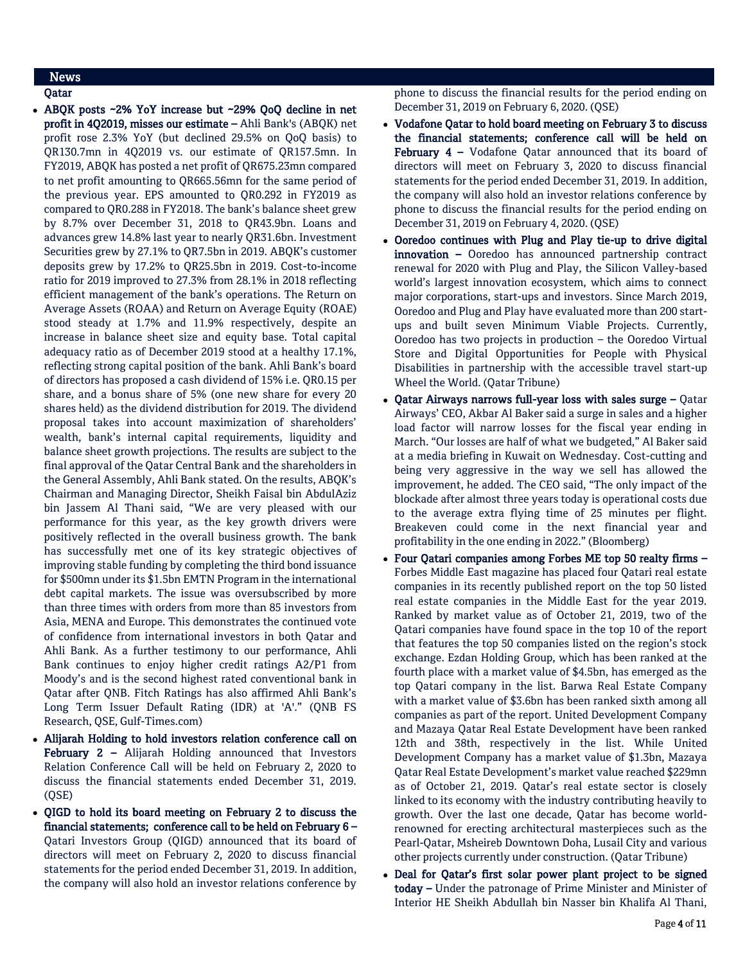## News

Qatar

- ABQK posts ~2% YoY increase but ~29% QoQ decline in net profit in 4Q2019, misses our estimate – Ahli Bank's (ABQK) net profit rose 2.3% YoY (but declined 29.5% on QoQ basis) to QR130.7mn in 4Q2019 vs. our estimate of QR157.5mn. In FY2019, ABQK has posted a net profit of QR675.23mn compared to net profit amounting to QR665.56mn for the same period of the previous year. EPS amounted to QR0.292 in FY2019 as compared to QR0.288 in FY2018. The bank's balance sheet grew by 8.7% over December 31, 2018 to QR43.9bn. Loans and advances grew 14.8% last year to nearly QR31.6bn. Investment Securities grew by 27.1% to QR7.5bn in 2019. ABQK's customer deposits grew by 17.2% to QR25.5bn in 2019. Cost-to-income ratio for 2019 improved to 27.3% from 28.1% in 2018 reflecting efficient management of the bank's operations. The Return on Average Assets (ROAA) and Return on Average Equity (ROAE) stood steady at 1.7% and 11.9% respectively, despite an increase in balance sheet size and equity base. Total capital adequacy ratio as of December 2019 stood at a healthy 17.1%, reflecting strong capital position of the bank. Ahli Bank's board of directors has proposed a cash dividend of 15% i.e. QR0.15 per share, and a bonus share of 5% (one new share for every 20 shares held) as the dividend distribution for 2019. The dividend proposal takes into account maximization of shareholders' wealth, bank's internal capital requirements, liquidity and balance sheet growth projections. The results are subject to the final approval of the Qatar Central Bank and the shareholders in the General Assembly, Ahli Bank stated. On the results, ABQK's Chairman and Managing Director, Sheikh Faisal bin AbdulAziz bin Jassem Al Thani said, "We are very pleased with our performance for this year, as the key growth drivers were positively reflected in the overall business growth. The bank has successfully met one of its key strategic objectives of improving stable funding by completing the third bond issuance for \$500mn under its \$1.5bn EMTN Program in the international debt capital markets. The issue was oversubscribed by more than three times with orders from more than 85 investors from Asia, MENA and Europe. This demonstrates the continued vote of confidence from international investors in both Qatar and Ahli Bank. As a further testimony to our performance, Ahli Bank continues to enjoy higher credit ratings A2/P1 from Moody's and is the second highest rated conventional bank in Qatar after QNB. Fitch Ratings has also affirmed Ahli Bank's Long Term Issuer Default Rating (IDR) at 'A'." (QNB FS Research, QSE, Gulf-Times.com)
- Alijarah Holding to hold investors relation conference call on February 2 - Alijarah Holding announced that Investors Relation Conference Call will be held on February 2, 2020 to discuss the financial statements ended December 31, 2019. (QSE)
- QIGD to hold its board meeting on February 2 to discuss the financial statements; conference call to be held on February 6 – Qatari Investors Group (QIGD) announced that its board of directors will meet on February 2, 2020 to discuss financial statements for the period ended December 31, 2019. In addition, the company will also hold an investor relations conference by

phone to discuss the financial results for the period ending on December 31, 2019 on February 6, 2020. (QSE)

- Vodafone Qatar to hold board meeting on February 3 to discuss the financial statements; conference call will be held on February 4 - Vodafone Qatar announced that its board of directors will meet on February 3, 2020 to discuss financial statements for the period ended December 31, 2019. In addition, the company will also hold an investor relations conference by phone to discuss the financial results for the period ending on December 31, 2019 on February 4, 2020. (QSE)
- Ooredoo continues with Plug and Play tie-up to drive digital innovation - Ooredoo has announced partnership contract renewal for 2020 with Plug and Play, the Silicon Valley-based world's largest innovation ecosystem, which aims to connect major corporations, start-ups and investors. Since March 2019, Ooredoo and Plug and Play have evaluated more than 200 startups and built seven Minimum Viable Projects. Currently, Ooredoo has two projects in production – the Ooredoo Virtual Store and Digital Opportunities for People with Physical Disabilities in partnership with the accessible travel start-up Wheel the World. (Qatar Tribune)
- Qatar Airways narrows full-year loss with sales surge Qatar Airways' CEO, Akbar Al Baker said a surge in sales and a higher load factor will narrow losses for the fiscal year ending in March. "Our losses are half of what we budgeted," Al Baker said at a media briefing in Kuwait on Wednesday. Cost-cutting and being very aggressive in the way we sell has allowed the improvement, he added. The CEO said, "The only impact of the blockade after almost three years today is operational costs due to the average extra flying time of 25 minutes per flight. Breakeven could come in the next financial year and profitability in the one ending in 2022." (Bloomberg)
- Four Qatari companies among Forbes ME top 50 realty firms Forbes Middle East magazine has placed four Qatari real estate companies in its recently published report on the top 50 listed real estate companies in the Middle East for the year 2019. Ranked by market value as of October 21, 2019, two of the Qatari companies have found space in the top 10 of the report that features the top 50 companies listed on the region's stock exchange. Ezdan Holding Group, which has been ranked at the fourth place with a market value of \$4.5bn, has emerged as the top Qatari company in the list. Barwa Real Estate Company with a market value of \$3.6bn has been ranked sixth among all companies as part of the report. United Development Company and Mazaya Qatar Real Estate Development have been ranked 12th and 38th, respectively in the list. While United Development Company has a market value of \$1.3bn, Mazaya Qatar Real Estate Development's market value reached \$229mn as of October 21, 2019. Qatar's real estate sector is closely linked to its economy with the industry contributing heavily to growth. Over the last one decade, Qatar has become worldrenowned for erecting architectural masterpieces such as the Pearl-Qatar, Msheireb Downtown Doha, Lusail City and various other projects currently under construction. (Qatar Tribune)
- Deal for Qatar's first solar power plant project to be signed today - Under the patronage of Prime Minister and Minister of Interior HE Sheikh Abdullah bin Nasser bin Khalifa Al Thani,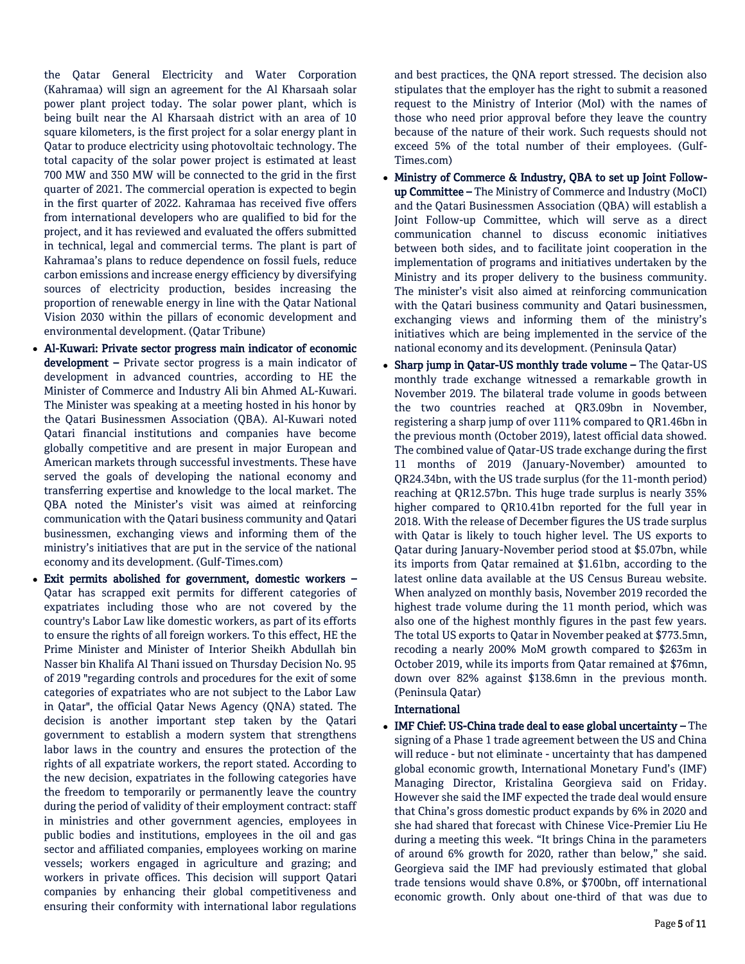the Qatar General Electricity and Water Corporation (Kahramaa) will sign an agreement for the Al Kharsaah solar power plant project today. The solar power plant, which is being built near the Al Kharsaah district with an area of 10 square kilometers, is the first project for a solar energy plant in Qatar to produce electricity using photovoltaic technology. The total capacity of the solar power project is estimated at least 700 MW and 350 MW will be connected to the grid in the first quarter of 2021. The commercial operation is expected to begin in the first quarter of 2022. Kahramaa has received five offers from international developers who are qualified to bid for the project, and it has reviewed and evaluated the offers submitted in technical, legal and commercial terms. The plant is part of Kahramaa's plans to reduce dependence on fossil fuels, reduce carbon emissions and increase energy efficiency by diversifying sources of electricity production, besides increasing the proportion of renewable energy in line with the Qatar National Vision 2030 within the pillars of economic development and environmental development. (Qatar Tribune)

- Al-Kuwari: Private sector progress main indicator of economic development – Private sector progress is a main indicator of development in advanced countries, according to HE the Minister of Commerce and Industry Ali bin Ahmed AL-Kuwari. The Minister was speaking at a meeting hosted in his honor by the Qatari Businessmen Association (QBA). Al-Kuwari noted Qatari financial institutions and companies have become globally competitive and are present in major European and American markets through successful investments. These have served the goals of developing the national economy and transferring expertise and knowledge to the local market. The QBA noted the Minister's visit was aimed at reinforcing communication with the Qatari business community and Qatari businessmen, exchanging views and informing them of the ministry's initiatives that are put in the service of the national economy and its development. (Gulf-Times.com)
- Exit permits abolished for government, domestic workers Qatar has scrapped exit permits for different categories of expatriates including those who are not covered by the country's Labor Law like domestic workers, as part of its efforts to ensure the rights of all foreign workers. To this effect, HE the Prime Minister and Minister of Interior Sheikh Abdullah bin Nasser bin Khalifa Al Thani issued on Thursday Decision No. 95 of 2019 "regarding controls and procedures for the exit of some categories of expatriates who are not subject to the Labor Law in Qatar", the official Qatar News Agency (QNA) stated. The decision is another important step taken by the Qatari government to establish a modern system that strengthens labor laws in the country and ensures the protection of the rights of all expatriate workers, the report stated. According to the new decision, expatriates in the following categories have the freedom to temporarily or permanently leave the country during the period of validity of their employment contract: staff in ministries and other government agencies, employees in public bodies and institutions, employees in the oil and gas sector and affiliated companies, employees working on marine vessels; workers engaged in agriculture and grazing; and workers in private offices. This decision will support Qatari companies by enhancing their global competitiveness and ensuring their conformity with international labor regulations

and best practices, the QNA report stressed. The decision also stipulates that the employer has the right to submit a reasoned request to the Ministry of Interior (MoI) with the names of those who need prior approval before they leave the country because of the nature of their work. Such requests should not exceed 5% of the total number of their employees. (Gulf-Times.com)

- Ministry of Commerce & Industry, QBA to set up Joint Followup Committee – The Ministry of Commerce and Industry (MoCI) and the Qatari Businessmen Association (QBA) will establish a Joint Follow-up Committee, which will serve as a direct communication channel to discuss economic initiatives between both sides, and to facilitate joint cooperation in the implementation of programs and initiatives undertaken by the Ministry and its proper delivery to the business community. The minister's visit also aimed at reinforcing communication with the Qatari business community and Qatari businessmen, exchanging views and informing them of the ministry's initiatives which are being implemented in the service of the national economy and its development. (Peninsula Qatar)
- Sharp jump in Qatar-US monthly trade volume The Qatar-US monthly trade exchange witnessed a remarkable growth in November 2019. The bilateral trade volume in goods between the two countries reached at QR3.09bn in November, registering a sharp jump of over 111% compared to QR1.46bn in the previous month (October 2019), latest official data showed. The combined value of Qatar-US trade exchange during the first 11 months of 2019 (January-November) amounted to QR24.34bn, with the US trade surplus (for the 11-month period) reaching at QR12.57bn. This huge trade surplus is nearly 35% higher compared to QR10.41bn reported for the full year in 2018. With the release of December figures the US trade surplus with Qatar is likely to touch higher level. The US exports to Qatar during January-November period stood at \$5.07bn, while its imports from Qatar remained at \$1.61bn, according to the latest online data available at the US Census Bureau website. When analyzed on monthly basis, November 2019 recorded the highest trade volume during the 11 month period, which was also one of the highest monthly figures in the past few years. The total US exports to Qatar in November peaked at \$773.5mn, recoding a nearly 200% MoM growth compared to \$263m in October 2019, while its imports from Qatar remained at \$76mn, down over 82% against \$138.6mn in the previous month. (Peninsula Qatar)

### International

 IMF Chief: US-China trade deal to ease global uncertainty – The signing of a Phase 1 trade agreement between the US and China will reduce - but not eliminate - uncertainty that has dampened global economic growth, International Monetary Fund's (IMF) Managing Director, Kristalina Georgieva said on Friday. However she said the IMF expected the trade deal would ensure that China's gross domestic product expands by 6% in 2020 and she had shared that forecast with Chinese Vice-Premier Liu He during a meeting this week. "It brings China in the parameters of around 6% growth for 2020, rather than below," she said. Georgieva said the IMF had previously estimated that global trade tensions would shave 0.8%, or \$700bn, off international economic growth. Only about one-third of that was due to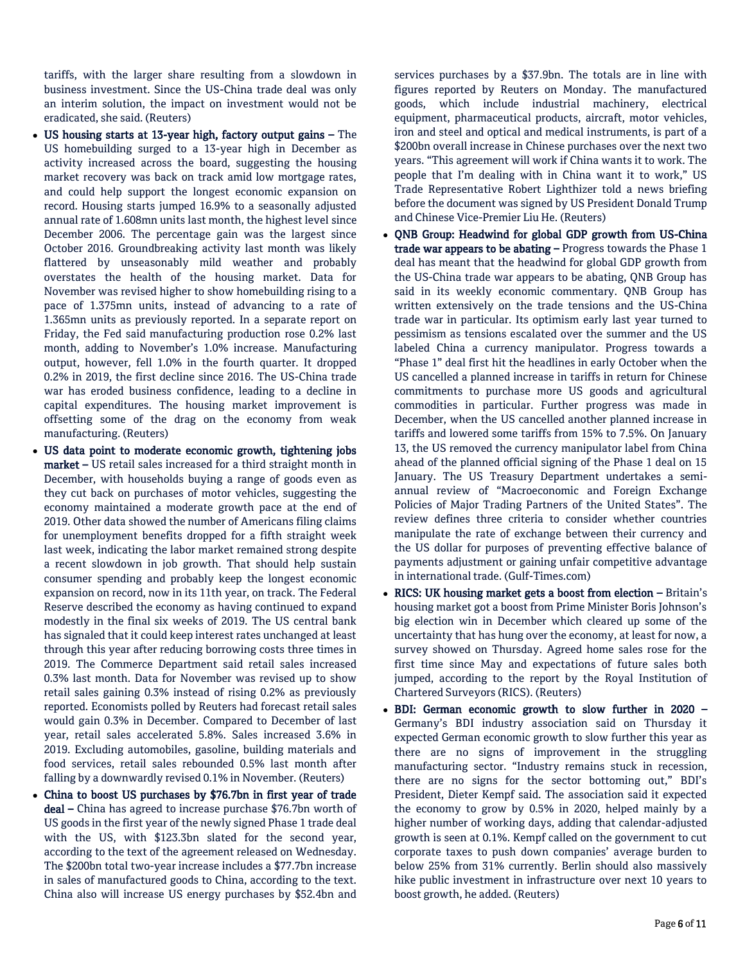tariffs, with the larger share resulting from a slowdown in business investment. Since the US-China trade deal was only an interim solution, the impact on investment would not be eradicated, she said. (Reuters)

- US housing starts at 13-year high, factory output gains The US homebuilding surged to a 13-year high in December as activity increased across the board, suggesting the housing market recovery was back on track amid low mortgage rates, and could help support the longest economic expansion on record. Housing starts jumped 16.9% to a seasonally adjusted annual rate of 1.608mn units last month, the highest level since December 2006. The percentage gain was the largest since October 2016. Groundbreaking activity last month was likely flattered by unseasonably mild weather and probably overstates the health of the housing market. Data for November was revised higher to show homebuilding rising to a pace of 1.375mn units, instead of advancing to a rate of 1.365mn units as previously reported. In a separate report on Friday, the Fed said manufacturing production rose 0.2% last month, adding to November's 1.0% increase. Manufacturing output, however, fell 1.0% in the fourth quarter. It dropped 0.2% in 2019, the first decline since 2016. The US-China trade war has eroded business confidence, leading to a decline in capital expenditures. The housing market improvement is offsetting some of the drag on the economy from weak manufacturing. (Reuters)
- US data point to moderate economic growth, tightening jobs market – US retail sales increased for a third straight month in December, with households buying a range of goods even as they cut back on purchases of motor vehicles, suggesting the economy maintained a moderate growth pace at the end of 2019. Other data showed the number of Americans filing claims for unemployment benefits dropped for a fifth straight week last week, indicating the labor market remained strong despite a recent slowdown in job growth. That should help sustain consumer spending and probably keep the longest economic expansion on record, now in its 11th year, on track. The Federal Reserve described the economy as having continued to expand modestly in the final six weeks of 2019. The US central bank has signaled that it could keep interest rates unchanged at least through this year after reducing borrowing costs three times in 2019. The Commerce Department said retail sales increased 0.3% last month. Data for November was revised up to show retail sales gaining 0.3% instead of rising 0.2% as previously reported. Economists polled by Reuters had forecast retail sales would gain 0.3% in December. Compared to December of last year, retail sales accelerated 5.8%. Sales increased 3.6% in 2019. Excluding automobiles, gasoline, building materials and food services, retail sales rebounded 0.5% last month after falling by a downwardly revised 0.1% in November. (Reuters)
- China to boost US purchases by \$76.7bn in first year of trade deal – China has agreed to increase purchase \$76.7bn worth of US goods in the first year of the newly signed Phase 1 trade deal with the US, with \$123.3bn slated for the second year, according to the text of the agreement released on Wednesday. The \$200bn total two-year increase includes a \$77.7bn increase in sales of manufactured goods to China, according to the text. China also will increase US energy purchases by \$52.4bn and

services purchases by a \$37.9bn. The totals are in line with figures reported by Reuters on Monday. The manufactured goods, which include industrial machinery, electrical equipment, pharmaceutical products, aircraft, motor vehicles, iron and steel and optical and medical instruments, is part of a \$200bn overall increase in Chinese purchases over the next two years. "This agreement will work if China wants it to work. The people that I'm dealing with in China want it to work," US Trade Representative Robert Lighthizer told a news briefing before the document was signed by US President Donald Trump and Chinese Vice-Premier Liu He. (Reuters)

- QNB Group: Headwind for global GDP growth from US-China trade war appears to be abating - Progress towards the Phase 1 deal has meant that the headwind for global GDP growth from the US-China trade war appears to be abating, QNB Group has said in its weekly economic commentary. QNB Group has written extensively on the trade tensions and the US-China trade war in particular. Its optimism early last year turned to pessimism as tensions escalated over the summer and the US labeled China a currency manipulator. Progress towards a "Phase 1" deal first hit the headlines in early October when the US cancelled a planned increase in tariffs in return for Chinese commitments to purchase more US goods and agricultural commodities in particular. Further progress was made in December, when the US cancelled another planned increase in tariffs and lowered some tariffs from 15% to 7.5%. On January 13, the US removed the currency manipulator label from China ahead of the planned official signing of the Phase 1 deal on 15 January. The US Treasury Department undertakes a semiannual review of "Macroeconomic and Foreign Exchange Policies of Major Trading Partners of the United States". The review defines three criteria to consider whether countries manipulate the rate of exchange between their currency and the US dollar for purposes of preventing effective balance of payments adjustment or gaining unfair competitive advantage in international trade. (Gulf-Times.com)
- RICS: UK housing market gets a boost from election Britain's housing market got a boost from Prime Minister Boris Johnson's big election win in December which cleared up some of the uncertainty that has hung over the economy, at least for now, a survey showed on Thursday. Agreed home sales rose for the first time since May and expectations of future sales both jumped, according to the report by the Royal Institution of Chartered Surveyors (RICS). (Reuters)
- BDI: German economic growth to slow further in 2020 Germany's BDI industry association said on Thursday it expected German economic growth to slow further this year as there are no signs of improvement in the struggling manufacturing sector. "Industry remains stuck in recession, there are no signs for the sector bottoming out," BDI's President, Dieter Kempf said. The association said it expected the economy to grow by 0.5% in 2020, helped mainly by a higher number of working days, adding that calendar-adjusted growth is seen at 0.1%. Kempf called on the government to cut corporate taxes to push down companies' average burden to below 25% from 31% currently. Berlin should also massively hike public investment in infrastructure over next 10 years to boost growth, he added. (Reuters)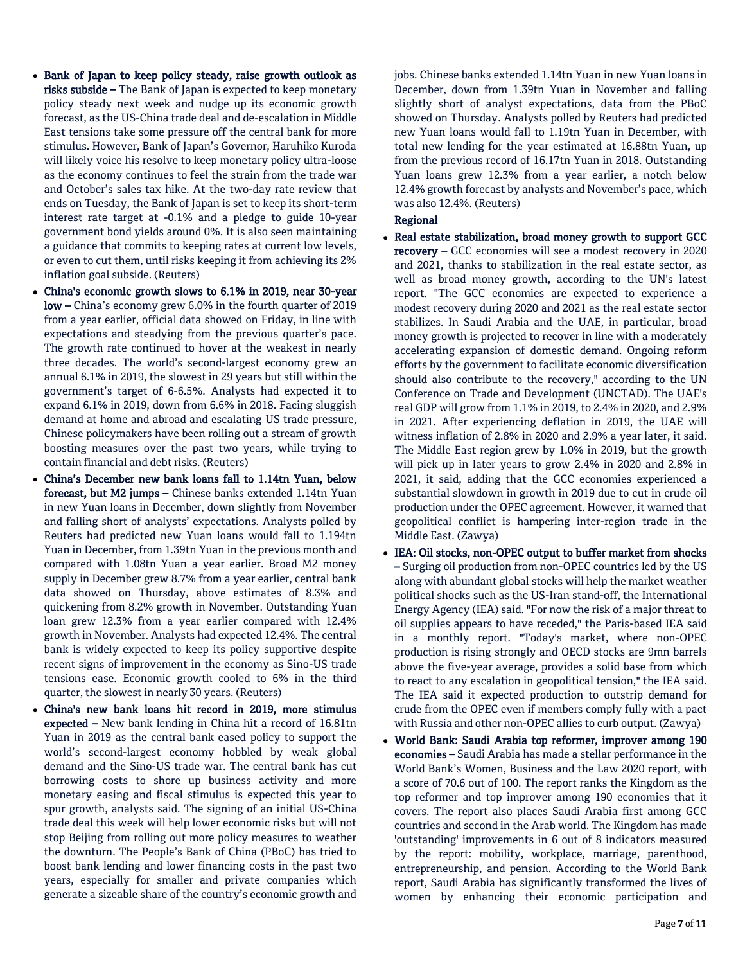- Bank of Japan to keep policy steady, raise growth outlook as risks subside – The Bank of Japan is expected to keep monetary policy steady next week and nudge up its economic growth forecast, as the US-China trade deal and de-escalation in Middle East tensions take some pressure off the central bank for more stimulus. However, Bank of Japan's Governor, Haruhiko Kuroda will likely voice his resolve to keep monetary policy ultra-loose as the economy continues to feel the strain from the trade war and October's sales tax hike. At the two-day rate review that ends on Tuesday, the Bank of Japan is set to keep its short-term interest rate target at -0.1% and a pledge to guide 10-year government bond yields around 0%. It is also seen maintaining a guidance that commits to keeping rates at current low levels, or even to cut them, until risks keeping it from achieving its 2% inflation goal subside. (Reuters)
- China's economic growth slows to 6.1% in 2019, near 30-year low – China's economy grew 6.0% in the fourth quarter of 2019 from a year earlier, official data showed on Friday, in line with expectations and steadying from the previous quarter's pace. The growth rate continued to hover at the weakest in nearly three decades. The world's second-largest economy grew an annual 6.1% in 2019, the slowest in 29 years but still within the government's target of 6-6.5%. Analysts had expected it to expand 6.1% in 2019, down from 6.6% in 2018. Facing sluggish demand at home and abroad and escalating US trade pressure, Chinese policymakers have been rolling out a stream of growth boosting measures over the past two years, while trying to contain financial and debt risks. (Reuters)
- China's December new bank loans fall to 1.14tn Yuan, below forecast, but M2 jumps – Chinese banks extended 1.14tn Yuan in new Yuan loans in December, down slightly from November and falling short of analysts' expectations. Analysts polled by Reuters had predicted new Yuan loans would fall to 1.194tn Yuan in December, from 1.39tn Yuan in the previous month and compared with 1.08tn Yuan a year earlier. Broad M2 money supply in December grew 8.7% from a year earlier, central bank data showed on Thursday, above estimates of 8.3% and quickening from 8.2% growth in November. Outstanding Yuan loan grew 12.3% from a year earlier compared with 12.4% growth in November. Analysts had expected 12.4%. The central bank is widely expected to keep its policy supportive despite recent signs of improvement in the economy as Sino-US trade tensions ease. Economic growth cooled to 6% in the third quarter, the slowest in nearly 30 years. (Reuters)
- China's new bank loans hit record in 2019, more stimulus expected - New bank lending in China hit a record of 16.81tn Yuan in 2019 as the central bank eased policy to support the world's second-largest economy hobbled by weak global demand and the Sino-US trade war. The central bank has cut borrowing costs to shore up business activity and more monetary easing and fiscal stimulus is expected this year to spur growth, analysts said. The signing of an initial US-China trade deal this week will help lower economic risks but will not stop Beijing from rolling out more policy measures to weather the downturn. The People's Bank of China (PBoC) has tried to boost bank lending and lower financing costs in the past two years, especially for smaller and private companies which generate a sizeable share of the country's economic growth and

jobs. Chinese banks extended 1.14tn Yuan in new Yuan loans in December, down from 1.39tn Yuan in November and falling slightly short of analyst expectations, data from the PBoC showed on Thursday. Analysts polled by Reuters had predicted new Yuan loans would fall to 1.19tn Yuan in December, with total new lending for the year estimated at 16.88tn Yuan, up from the previous record of 16.17tn Yuan in 2018. Outstanding Yuan loans grew 12.3% from a year earlier, a notch below 12.4% growth forecast by analysts and November's pace, which was also 12.4%. (Reuters)

### Regional

- Real estate stabilization, broad money growth to support GCC recovery – GCC economies will see a modest recovery in 2020 and 2021, thanks to stabilization in the real estate sector, as well as broad money growth, according to the UN's latest report. "The GCC economies are expected to experience a modest recovery during 2020 and 2021 as the real estate sector stabilizes. In Saudi Arabia and the UAE, in particular, broad money growth is projected to recover in line with a moderately accelerating expansion of domestic demand. Ongoing reform efforts by the government to facilitate economic diversification should also contribute to the recovery," according to the UN Conference on Trade and Development (UNCTAD). The UAE's real GDP will grow from 1.1% in 2019, to 2.4% in 2020, and 2.9% in 2021. After experiencing deflation in 2019, the UAE will witness inflation of 2.8% in 2020 and 2.9% a year later, it said. The Middle East region grew by 1.0% in 2019, but the growth will pick up in later years to grow 2.4% in 2020 and 2.8% in 2021, it said, adding that the GCC economies experienced a substantial slowdown in growth in 2019 due to cut in crude oil production under the OPEC agreement. However, it warned that geopolitical conflict is hampering inter-region trade in the Middle East. (Zawya)
- IEA: Oil stocks, non-OPEC output to buffer market from shocks – Surging oil production from non-OPEC countries led by the US along with abundant global stocks will help the market weather political shocks such as the US-Iran stand-off, the International Energy Agency (IEA) said. "For now the risk of a major threat to oil supplies appears to have receded," the Paris-based IEA said in a monthly report. "Today's market, where non-OPEC production is rising strongly and OECD stocks are 9mn barrels above the five-year average, provides a solid base from which to react to any escalation in geopolitical tension," the IEA said. The IEA said it expected production to outstrip demand for crude from the OPEC even if members comply fully with a pact with Russia and other non-OPEC allies to curb output. (Zawya)
- World Bank: Saudi Arabia top reformer, improver among 190 economies – Saudi Arabia has made a stellar performance in the World Bank's Women, Business and the Law 2020 report, with a score of 70.6 out of 100. The report ranks the Kingdom as the top reformer and top improver among 190 economies that it covers. The report also places Saudi Arabia first among GCC countries and second in the Arab world. The Kingdom has made 'outstanding' improvements in 6 out of 8 indicators measured by the report: mobility, workplace, marriage, parenthood, entrepreneurship, and pension. According to the World Bank report, Saudi Arabia has significantly transformed the lives of women by enhancing their economic participation and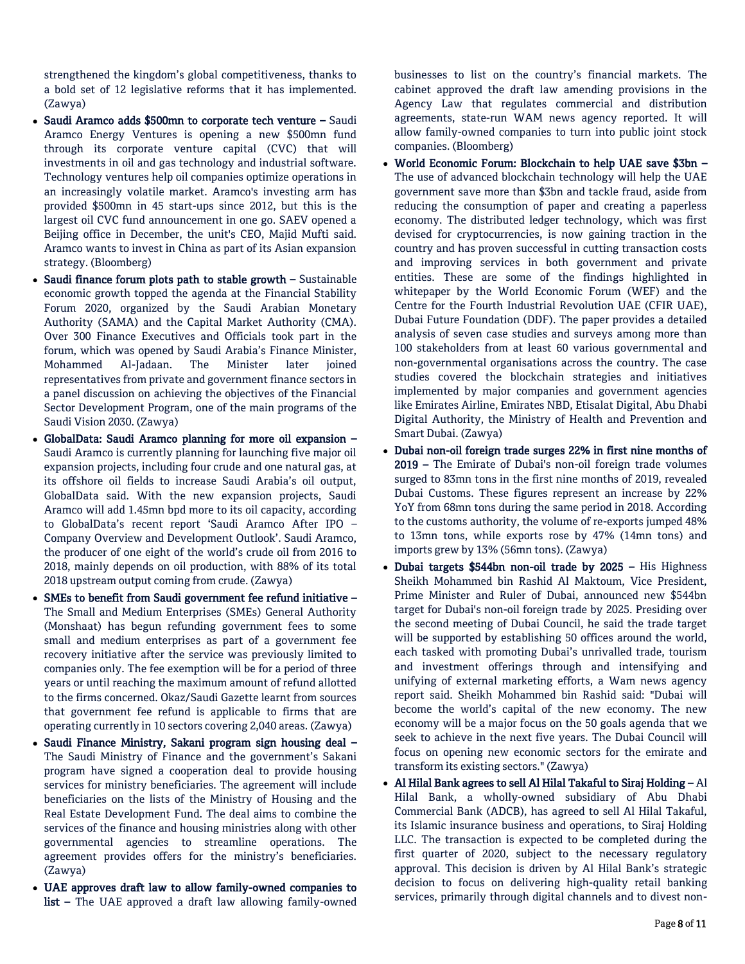strengthened the kingdom's global competitiveness, thanks to a bold set of 12 legislative reforms that it has implemented. (Zawya)

- Saudi Aramco adds \$500mn to corporate tech venture Saudi Aramco Energy Ventures is opening a new \$500mn fund through its corporate venture capital (CVC) that will investments in oil and gas technology and industrial software. Technology ventures help oil companies optimize operations in an increasingly volatile market. Aramco's investing arm has provided \$500mn in 45 start-ups since 2012, but this is the largest oil CVC fund announcement in one go. SAEV opened a Beijing office in December, the unit's CEO, Majid Mufti said. Aramco wants to invest in China as part of its Asian expansion strategy. (Bloomberg)
- $\bullet$  Saudi finance forum plots path to stable growth  $-$  Sustainable economic growth topped the agenda at the Financial Stability Forum 2020, organized by the Saudi Arabian Monetary Authority (SAMA) and the Capital Market Authority (CMA). Over 300 Finance Executives and Officials took part in the forum, which was opened by Saudi Arabia's Finance Minister, Mohammed Al-Jadaan. The Minister later joined representatives from private and government finance sectors in a panel discussion on achieving the objectives of the Financial Sector Development Program, one of the main programs of the Saudi Vision 2030. (Zawya)
- GlobalData: Saudi Aramco planning for more oil expansion Saudi Aramco is currently planning for launching five major oil expansion projects, including four crude and one natural gas, at its offshore oil fields to increase Saudi Arabia's oil output, GlobalData said. With the new expansion projects, Saudi Aramco will add 1.45mn bpd more to its oil capacity, according to GlobalData's recent report 'Saudi Aramco After IPO – Company Overview and Development Outlook'. Saudi Aramco, the producer of one eight of the world's crude oil from 2016 to 2018, mainly depends on oil production, with 88% of its total 2018 upstream output coming from crude. (Zawya)
- SMEs to benefit from Saudi government fee refund initiative The Small and Medium Enterprises (SMEs) General Authority (Monshaat) has begun refunding government fees to some small and medium enterprises as part of a government fee recovery initiative after the service was previously limited to companies only. The fee exemption will be for a period of three years or until reaching the maximum amount of refund allotted to the firms concerned. Okaz/Saudi Gazette learnt from sources that government fee refund is applicable to firms that are operating currently in 10 sectors covering 2,040 areas. (Zawya)
- Saudi Finance Ministry, Sakani program sign housing deal The Saudi Ministry of Finance and the government's Sakani program have signed a cooperation deal to provide housing services for ministry beneficiaries. The agreement will include beneficiaries on the lists of the Ministry of Housing and the Real Estate Development Fund. The deal aims to combine the services of the finance and housing ministries along with other governmental agencies to streamline operations. The agreement provides offers for the ministry's beneficiaries. (Zawya)
- UAE approves draft law to allow family-owned companies to list – The UAE approved a draft law allowing family-owned

businesses to list on the country's financial markets. The cabinet approved the draft law amending provisions in the Agency Law that regulates commercial and distribution agreements, state-run WAM news agency reported. It will allow family-owned companies to turn into public joint stock companies. (Bloomberg)

- World Economic Forum: Blockchain to help UAE save \$3bn The use of advanced blockchain technology will help the UAE government save more than \$3bn and tackle fraud, aside from reducing the consumption of paper and creating a paperless economy. The distributed ledger technology, which was first devised for cryptocurrencies, is now gaining traction in the country and has proven successful in cutting transaction costs and improving services in both government and private entities. These are some of the findings highlighted in whitepaper by the World Economic Forum (WEF) and the Centre for the Fourth Industrial Revolution UAE (CFIR UAE), Dubai Future Foundation (DDF). The paper provides a detailed analysis of seven case studies and surveys among more than 100 stakeholders from at least 60 various governmental and non-governmental organisations across the country. The case studies covered the blockchain strategies and initiatives implemented by major companies and government agencies like Emirates Airline, Emirates NBD, Etisalat Digital, Abu Dhabi Digital Authority, the Ministry of Health and Prevention and Smart Dubai. (Zawya)
- Dubai non-oil foreign trade surges 22% in first nine months of 2019 – The Emirate of Dubai's non-oil foreign trade volumes surged to 83mn tons in the first nine months of 2019, revealed Dubai Customs. These figures represent an increase by 22% YoY from 68mn tons during the same period in 2018. According to the customs authority, the volume of re-exports jumped 48% to 13mn tons, while exports rose by 47% (14mn tons) and imports grew by 13% (56mn tons). (Zawya)
- Dubai targets \$544bn non-oil trade by 2025 His Highness Sheikh Mohammed bin Rashid Al Maktoum, Vice President, Prime Minister and Ruler of Dubai, announced new \$544bn target for Dubai's non-oil foreign trade by 2025. Presiding over the second meeting of Dubai Council, he said the trade target will be supported by establishing 50 offices around the world, each tasked with promoting Dubai's unrivalled trade, tourism and investment offerings through and intensifying and unifying of external marketing efforts, a Wam news agency report said. Sheikh Mohammed bin Rashid said: "Dubai will become the world's capital of the new economy. The new economy will be a major focus on the 50 goals agenda that we seek to achieve in the next five years. The Dubai Council will focus on opening new economic sectors for the emirate and transform its existing sectors." (Zawya)
- Al Hilal Bank agrees to sell Al Hilal Takaful to Siraj Holding Al Hilal Bank, a wholly-owned subsidiary of Abu Dhabi Commercial Bank (ADCB), has agreed to sell Al Hilal Takaful, its Islamic insurance business and operations, to Siraj Holding LLC. The transaction is expected to be completed during the first quarter of 2020, subject to the necessary regulatory approval. This decision is driven by Al Hilal Bank's strategic decision to focus on delivering high-quality retail banking services, primarily through digital channels and to divest non-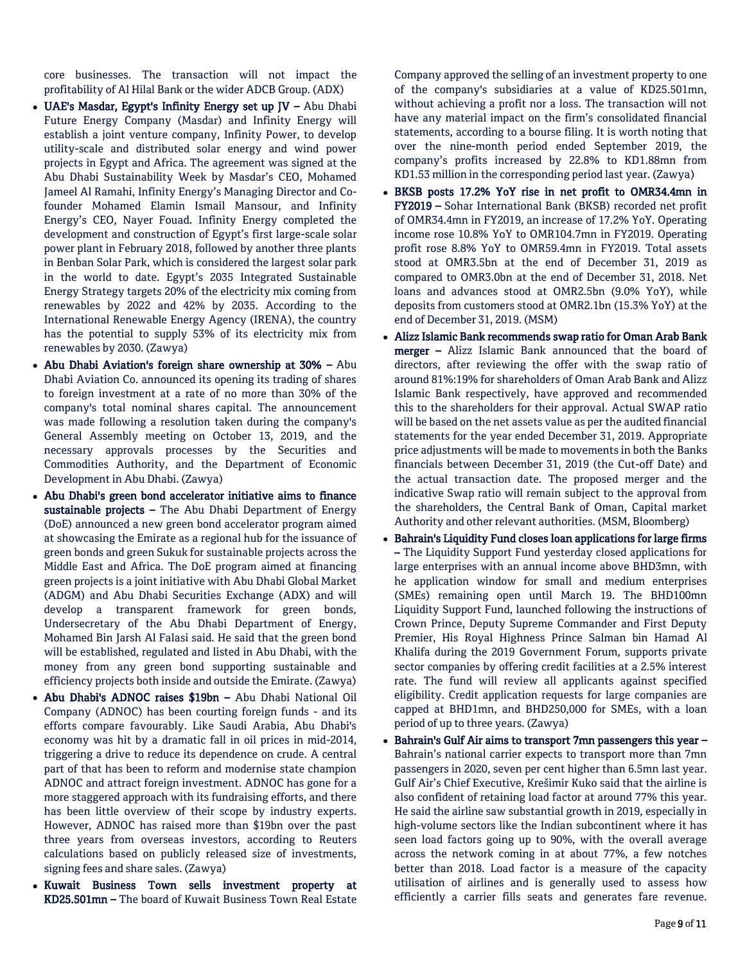core businesses. The transaction will not impact the profitability of Al Hilal Bank or the wider ADCB Group. (ADX)

- $\bullet$  UAE's Masdar, Egypt's Infinity Energy set up JV Abu Dhabi Future Energy Company (Masdar) and Infinity Energy will establish a joint venture company, Infinity Power, to develop utility-scale and distributed solar energy and wind power projects in Egypt and Africa. The agreement was signed at the Abu Dhabi Sustainability Week by Masdar's CEO, Mohamed Jameel Al Ramahi, Infinity Energy's Managing Director and Cofounder Mohamed Elamin Ismail Mansour, and Infinity Energy's CEO, Nayer Fouad. Infinity Energy completed the development and construction of Egypt's first large-scale solar power plant in February 2018, followed by another three plants in Benban Solar Park, which is considered the largest solar park in the world to date. Egypt's 2035 Integrated Sustainable Energy Strategy targets 20% of the electricity mix coming from renewables by 2022 and 42% by 2035. According to the International Renewable Energy Agency (IRENA), the country has the potential to supply 53% of its electricity mix from renewables by 2030. (Zawya)
- Abu Dhabi Aviation's foreign share ownership at 30% Abu Dhabi Aviation Co. announced its opening its trading of shares to foreign investment at a rate of no more than 30% of the company's total nominal shares capital. The announcement was made following a resolution taken during the company's General Assembly meeting on October 13, 2019, and the necessary approvals processes by the Securities and Commodities Authority, and the Department of Economic Development in Abu Dhabi. (Zawya)
- Abu Dhabi's green bond accelerator initiative aims to finance sustainable projects - The Abu Dhabi Department of Energy (DoE) announced a new green bond accelerator program aimed at showcasing the Emirate as a regional hub for the issuance of green bonds and green Sukuk for sustainable projects across the Middle East and Africa. The DoE program aimed at financing green projects is a joint initiative with Abu Dhabi Global Market (ADGM) and Abu Dhabi Securities Exchange (ADX) and will develop a transparent framework for green bonds, Undersecretary of the Abu Dhabi Department of Energy, Mohamed Bin Jarsh Al Falasi said. He said that the green bond will be established, regulated and listed in Abu Dhabi, with the money from any green bond supporting sustainable and efficiency projects both inside and outside the Emirate. (Zawya)
- Abu Dhabi's ADNOC raises \$19bn Abu Dhabi National Oil Company (ADNOC) has been courting foreign funds - and its efforts compare favourably. Like Saudi Arabia, Abu Dhabi's economy was hit by a dramatic fall in oil prices in mid-2014, triggering a drive to reduce its dependence on crude. A central part of that has been to reform and modernise state champion ADNOC and attract foreign investment. ADNOC has gone for a more staggered approach with its fundraising efforts, and there has been little overview of their scope by industry experts. However, ADNOC has raised more than \$19bn over the past three years from overseas investors, according to Reuters calculations based on publicly released size of investments, signing fees and share sales. (Zawya)
- Kuwait Business Town sells investment property at KD25.501mn – The board of Kuwait Business Town Real Estate

Company approved the selling of an investment property to one of the company's subsidiaries at a value of KD25.501mn, without achieving a profit nor a loss. The transaction will not have any material impact on the firm's consolidated financial statements, according to a bourse filing. It is worth noting that over the nine-month period ended September 2019, the company's profits increased by 22.8% to KD1.88mn from KD1.53 million in the corresponding period last year. (Zawya)

- BKSB posts 17.2% YoY rise in net profit to OMR34.4mn in FY2019 – Sohar International Bank (BKSB) recorded net profit of OMR34.4mn in FY2019, an increase of 17.2% YoY. Operating income rose 10.8% YoY to OMR104.7mn in FY2019. Operating profit rose 8.8% YoY to OMR59.4mn in FY2019. Total assets stood at OMR3.5bn at the end of December 31, 2019 as compared to OMR3.0bn at the end of December 31, 2018. Net loans and advances stood at OMR2.5bn (9.0% YoY), while deposits from customers stood at OMR2.1bn (15.3% YoY) at the end of December 31, 2019. (MSM)
- Alizz Islamic Bank recommends swap ratio for Oman Arab Bank merger – Alizz Islamic Bank announced that the board of directors, after reviewing the offer with the swap ratio of around 81%:19% for shareholders of Oman Arab Bank and Alizz Islamic Bank respectively, have approved and recommended this to the shareholders for their approval. Actual SWAP ratio will be based on the net assets value as per the audited financial statements for the year ended December 31, 2019. Appropriate price adjustments will be made to movements in both the Banks financials between December 31, 2019 (the Cut-off Date) and the actual transaction date. The proposed merger and the indicative Swap ratio will remain subject to the approval from the shareholders, the Central Bank of Oman, Capital market Authority and other relevant authorities. (MSM, Bloomberg)
- Bahrain's Liquidity Fund closes loan applications for large firms – The Liquidity Support Fund yesterday closed applications for large enterprises with an annual income above BHD3mn, with he application window for small and medium enterprises (SMEs) remaining open until March 19. The BHD100mn Liquidity Support Fund, launched following the instructions of Crown Prince, Deputy Supreme Commander and First Deputy Premier, His Royal Highness Prince Salman bin Hamad Al Khalifa during the 2019 Government Forum, supports private sector companies by offering credit facilities at a 2.5% interest rate. The fund will review all applicants against specified eligibility. Credit application requests for large companies are capped at BHD1mn, and BHD250,000 for SMEs, with a loan period of up to three years. (Zawya)
- Bahrain's Gulf Air aims to transport 7mn passengers this year Bahrain's national carrier expects to transport more than 7mn passengers in 2020, seven per cent higher than 6.5mn last year. Gulf Air's Chief Executive, Krešimir Kuko said that the airline is also confident of retaining load factor at around 77% this year. He said the airline saw substantial growth in 2019, especially in high-volume sectors like the Indian subcontinent where it has seen load factors going up to 90%, with the overall average across the network coming in at about 77%, a few notches better than 2018. Load factor is a measure of the capacity utilisation of airlines and is generally used to assess how efficiently a carrier fills seats and generates fare revenue.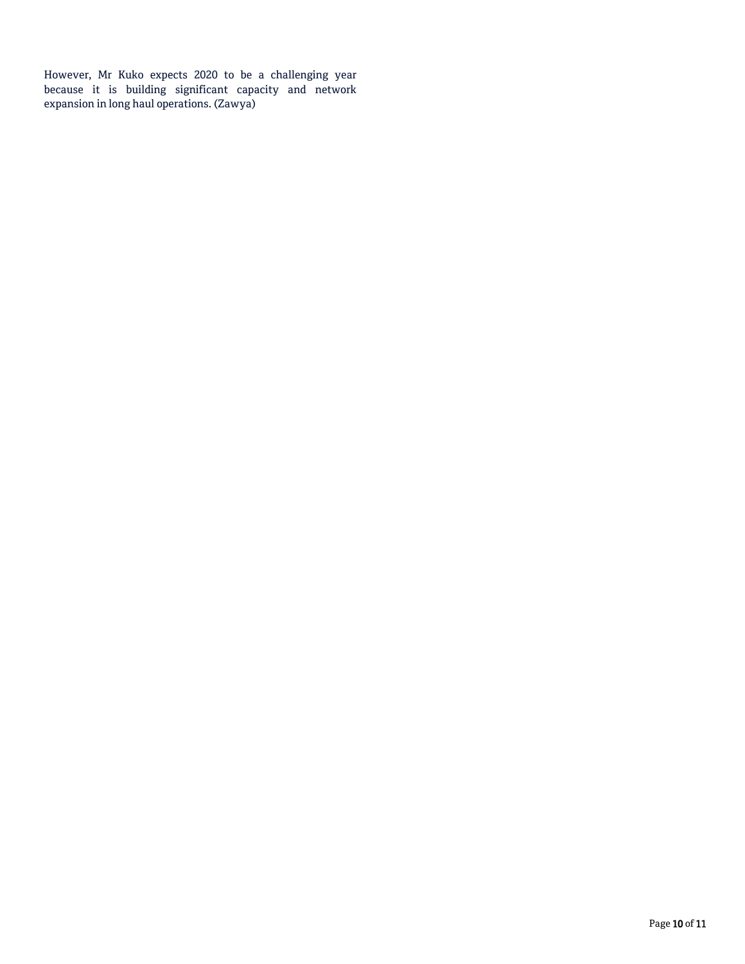However, Mr Kuko expects 2020 to be a challenging year because it is building significant capacity and network expansion in long haul operations. (Zawya)